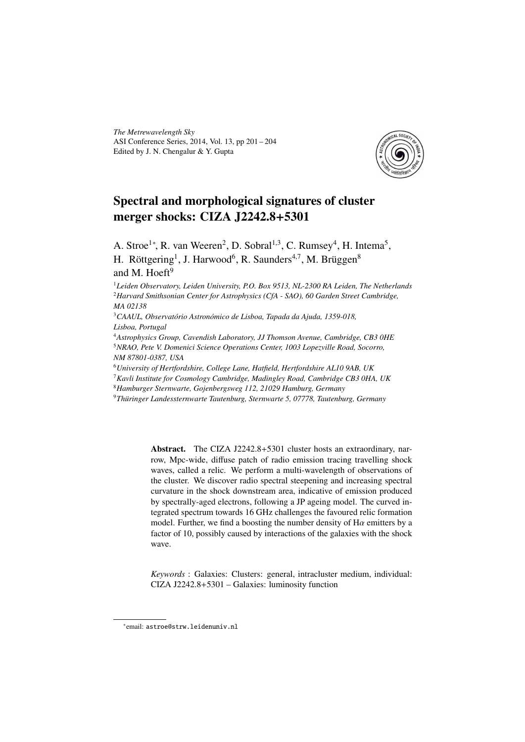*The Metrewavelength Sky* ASI Conference Series, 2014, Vol. 13, pp 201 – 204 Edited by J. N. Chengalur & Y. Gupta



# Spectral and morphological signatures of cluster merger shocks: CIZA J2242.8+5301

A. Stroe<sup>1</sup>\*, R. van Weeren<sup>2</sup>, D. Sobral<sup>1,3</sup>, C. Rumsey<sup>4</sup>, H. Intema<sup>5</sup>, H. Röttgering<sup>1</sup>, J. Harwood<sup>6</sup>, R. Saunders<sup>4,7</sup>, M. Brüggen<sup>8</sup> and M. Hoeft $9$ 

<sup>1</sup>*Leiden Observatory, Leiden University, P.O. Box 9513, NL-2300 RA Leiden, The Netherlands* <sup>2</sup>*Harvard Smithsonian Center for Astrophysics (CfA - SAO), 60 Garden Street Cambridge, MA 02138*

<sup>3</sup>*CAAUL, Observatório Astronómico de Lisboa, Tapada da Ajuda, 1359-018, Lisboa, Portugal*

<sup>4</sup>*Astrophysics Group, Cavendish Laboratory, JJ Thomson Avenue, Cambridge, CB3 0HE* <sup>5</sup>*NRAO, Pete V. Domenici Science Operations Center, 1003 Lopezville Road, Socorro, NM 87801-0387, USA*

<sup>6</sup>*University of Hertfordshire, College Lane, Hatfield, Hertfordshire AL10 9AB, UK*

<sup>7</sup>*Kavli Institute for Cosmology Cambridge, Madingley Road, Cambridge CB3 0HA, UK*

<sup>8</sup>*Hamburger Sternwarte, Gojenbergsweg 112, 21029 Hamburg, Germany*

<sup>9</sup>*Thüringer Landessternwarte Tautenburg, Sternwarte 5, 07778, Tautenburg, Germany*

Abstract. The CIZA J2242.8+5301 cluster hosts an extraordinary, narrow, Mpc-wide, diffuse patch of radio emission tracing travelling shock waves, called a relic. We perform a multi-wavelength of observations of the cluster. We discover radio spectral steepening and increasing spectral curvature in the shock downstream area, indicative of emission produced by spectrally-aged electrons, following a JP ageing model. The curved integrated spectrum towards 16 GHz challenges the favoured relic formation model. Further, we find a boosting the number density of  $H\alpha$  emitters by a factor of 10, possibly caused by interactions of the galaxies with the shock wave.

*Keywords* : Galaxies: Clusters: general, intracluster medium, individual: CIZA J2242.8+5301 – Galaxies: luminosity function

<sup>∗</sup> email: astroe@strw.leidenuniv.nl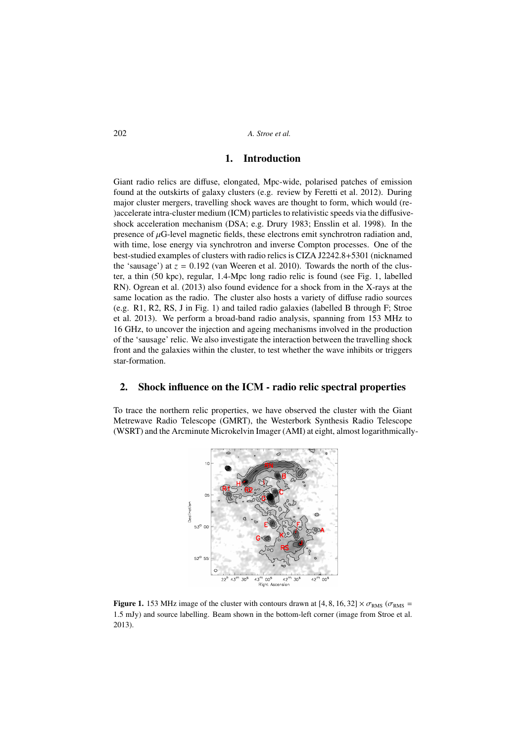202 *A. Stroe et al.*

## 1. Introduction

Giant radio relics are diffuse, elongated, Mpc-wide, polarised patches of emission found at the outskirts of galaxy clusters (e.g. review by Feretti et al. 2012). During major cluster mergers, travelling shock waves are thought to form, which would (re- )accelerate intra-cluster medium (ICM) particles to relativistic speeds via the diffusiveshock acceleration mechanism (DSA; e.g. Drury 1983; Ensslin et al. 1998). In the presence of  $\mu$ G-level magnetic fields, these electrons emit synchrotron radiation and, with time, lose energy via synchrotron and inverse Compton processes. One of the best-studied examples of clusters with radio relics is CIZA J2242.8+5301 (nicknamed the 'sausage') at  $z = 0.192$  (van Weeren et al. 2010). Towards the north of the cluster, a thin (50 kpc), regular, 1.4-Mpc long radio relic is found (see Fig. 1, labelled RN). Ogrean et al. (2013) also found evidence for a shock from in the X-rays at the same location as the radio. The cluster also hosts a variety of diffuse radio sources (e.g. R1, R2, RS, J in Fig. 1) and tailed radio galaxies (labelled B through F; Stroe et al. 2013). We perform a broad-band radio analysis, spanning from 153 MHz to 16 GHz, to uncover the injection and ageing mechanisms involved in the production of the 'sausage' relic. We also investigate the interaction between the travelling shock front and the galaxies within the cluster, to test whether the wave inhibits or triggers star-formation.

### 2. Shock influence on the ICM - radio relic spectral properties

To trace the northern relic properties, we have observed the cluster with the Giant Metrewave Radio Telescope (GMRT), the Westerbork Synthesis Radio Telescope (WSRT) and the Arcminute Microkelvin Imager (AMI) at eight, almost logarithmically-



**Figure 1.** 153 MHz image of the cluster with contours drawn at [4, 8, 16, 32]  $\times \sigma_{RMS}$  ( $\sigma_{RMS}$  = <sup>1</sup>.5 mJy) and source labelling. Beam shown in the bottom-left corner (image from Stroe et al. 2013).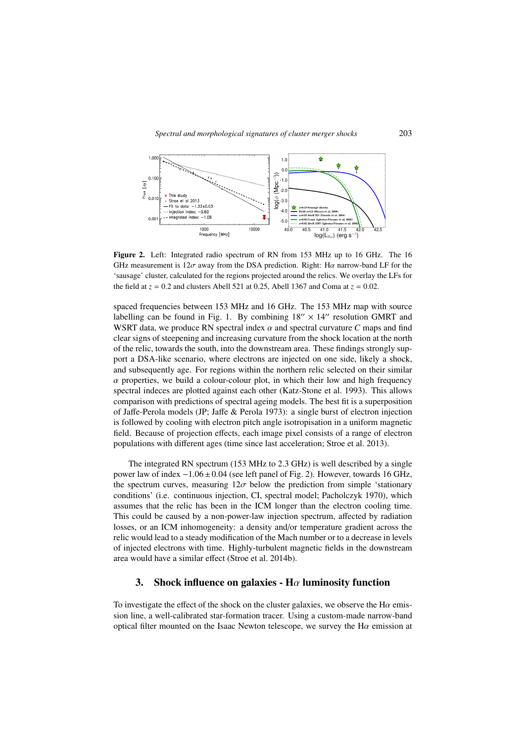#### *Spectral and morphological signatures of cluster merger shocks* 203



Figure 2. Left: Integrated radio spectrum of RN from 153 MHz up to 16 GHz. The 16 GHz measurement is  $12\sigma$  away from the DSA prediction. Right: H $\alpha$  narrow-band LF for the 'sausage' cluster, calculated for the regions projected around the relics. We overlay the LFs for the field at  $z = 0.2$  and clusters Abell 521 at 0.25, Abell 1367 and Coma at  $z = 0.02$ .

spaced frequencies between 153 MHz and 16 GHz. The 153 MHz map with source labelling can be found in Fig. 1. By combining  $18'' \times 14''$  resolution GMRT and WSRT data, we produce RN spectral index  $\alpha$  and spectral curvature  $C$  maps and find clear signs of steepening and increasing curvature from the shock location at the north of the relic, towards the south, into the downstream area. These findings strongly support a DSA-like scenario, where electrons are injected on one side, likely a shock, and subsequently age. For regions within the northern relic selected on their similar  $\alpha$  properties, we build a colour-colour plot, in which their low and high frequency spectral indeces are plotted against each other (Katz-Stone et al. 1993). This allows comparison with predictions of spectral ageing models. The best fit is a superposition of Jaffe-Perola models (JP; Jaffe & Perola 1973): a single burst of electron injection is followed by cooling with electron pitch angle isotropisation in a uniform magnetic field. Because of projection effects, each image pixel consists of a range of electron populations with different ages (time since last acceleration; Stroe et al. 2013).

The integrated RN spectrum (153 MHz to 2.3 GHz) is well described by a single power law of index  $-1.06 \pm 0.04$  (see left panel of Fig. 2). However, towards 16 GHz, the spectrum curves, measuring  $12\sigma$  below the prediction from simple 'stationary conditions' (i.e. continuous injection, CI, spectral model; Pacholczyk 1970), which assumes that the relic has been in the ICM longer than the electron cooling time. This could be caused by a non-power-law injection spectrum, affected by radiation losses, or an ICM inhomogeneity: a density and/or temperature gradient across the relic would lead to a steady modification of the Mach number or to a decrease in levels of injected electrons with time. Highly-turbulent magnetic fields in the downstream area would have a similar effect (Stroe et al. 2014b).

# 3. Shock influence on galaxies - H $\alpha$  luminosity function

To investigate the effect of the shock on the cluster galaxies, we observe the H $\alpha$  emission line, a well-calibrated star-formation tracer. Using a custom-made narrow-band optical filter mounted on the Isaac Newton telescope, we survey the  $H\alpha$  emission at